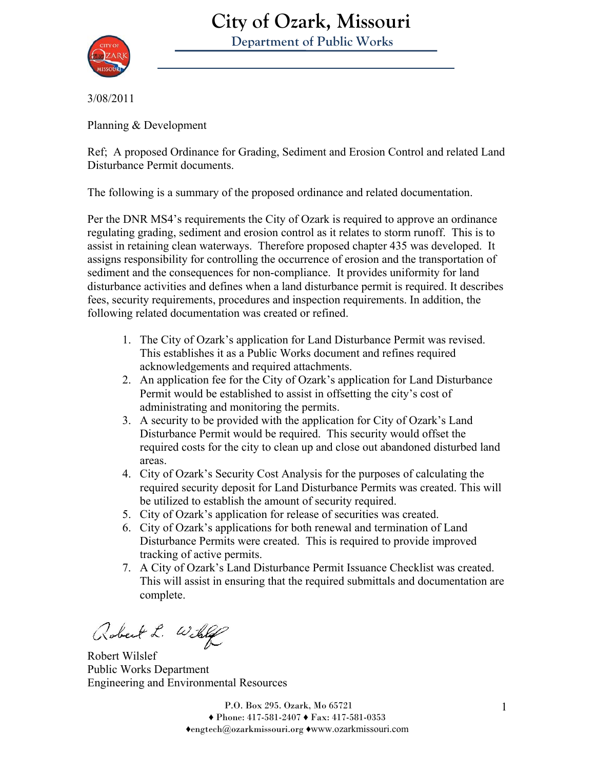

# **City of Ozark, Missouri**

 **Department of Public Works** 

3/08/2011

Planning & Development

Ref; A proposed Ordinance for Grading, Sediment and Erosion Control and related Land Disturbance Permit documents.

The following is a summary of the proposed ordinance and related documentation.

Per the DNR MS4's requirements the City of Ozark is required to approve an ordinance regulating grading, sediment and erosion control as it relates to storm runoff. This is to assist in retaining clean waterways. Therefore proposed chapter 435 was developed. It assigns responsibility for controlling the occurrence of erosion and the transportation of sediment and the consequences for non-compliance. It provides uniformity for land disturbance activities and defines when a land disturbance permit is required. It describes fees, security requirements, procedures and inspection requirements. In addition, the following related documentation was created or refined.

- 1. The City of Ozark's application for Land Disturbance Permit was revised. This establishes it as a Public Works document and refines required acknowledgements and required attachments.
- 2. An application fee for the City of Ozark's application for Land Disturbance Permit would be established to assist in offsetting the city's cost of administrating and monitoring the permits.
- 3. A security to be provided with the application for City of Ozark's Land Disturbance Permit would be required. This security would offset the required costs for the city to clean up and close out abandoned disturbed land areas.
- 4. City of Ozark's Security Cost Analysis for the purposes of calculating the required security deposit for Land Disturbance Permits was created. This will be utilized to establish the amount of security required.
- 5. City of Ozark's application for release of securities was created.
- 6. City of Ozark's applications for both renewal and termination of Land Disturbance Permits were created. This is required to provide improved tracking of active permits.
- 7. A City of Ozark's Land Disturbance Permit Issuance Checklist was created. This will assist in ensuring that the required submittals and documentation are complete.

Robert L. Will

Robert Wilslef Public Works Department Engineering and Environmental Resources

P.O. Box 295. Ozark, Mo 65721 1 ♦ Phone: 417-581-2407 ♦ Fax: 417-581-0353 ♦engtech@ozarkmissouri.org ♦www.ozarkmissouri.com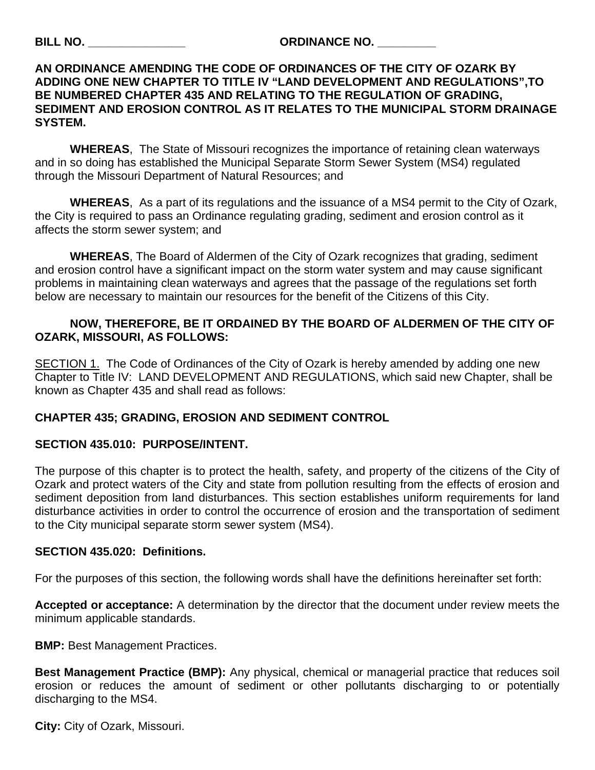#### **BILL NO. \_\_\_\_\_\_\_\_\_\_\_\_\_\_\_ ORDINANCE NO. \_\_\_\_\_\_\_\_\_**

#### **AN ORDINANCE AMENDING THE CODE OF ORDINANCES OF THE CITY OF OZARK BY ADDING ONE NEW CHAPTER TO TITLE IV "LAND DEVELOPMENT AND REGULATIONS",TO BE NUMBERED CHAPTER 435 AND RELATING TO THE REGULATION OF GRADING, SEDIMENT AND EROSION CONTROL AS IT RELATES TO THE MUNICIPAL STORM DRAINAGE SYSTEM.**

 **WHEREAS**, The State of Missouri recognizes the importance of retaining clean waterways and in so doing has established the Municipal Separate Storm Sewer System (MS4) regulated through the Missouri Department of Natural Resources; and

**WHEREAS**, As a part of its regulations and the issuance of a MS4 permit to the City of Ozark, the City is required to pass an Ordinance regulating grading, sediment and erosion control as it affects the storm sewer system; and

**WHEREAS**, The Board of Aldermen of the City of Ozark recognizes that grading, sediment and erosion control have a significant impact on the storm water system and may cause significant problems in maintaining clean waterways and agrees that the passage of the regulations set forth below are necessary to maintain our resources for the benefit of the Citizens of this City.

#### **NOW, THEREFORE, BE IT ORDAINED BY THE BOARD OF ALDERMEN OF THE CITY OF OZARK, MISSOURI, AS FOLLOWS:**

SECTION 1. The Code of Ordinances of the City of Ozark is hereby amended by adding one new Chapter to Title IV: LAND DEVELOPMENT AND REGULATIONS, which said new Chapter, shall be known as Chapter 435 and shall read as follows:

#### **CHAPTER 435; GRADING, EROSION AND SEDIMENT CONTROL**

#### **SECTION 435.010: PURPOSE/INTENT.**

The purpose of this chapter is to protect the health, safety, and property of the citizens of the City of Ozark and protect waters of the City and state from pollution resulting from the effects of erosion and sediment deposition from land disturbances. This section establishes uniform requirements for land disturbance activities in order to control the occurrence of erosion and the transportation of sediment to the City municipal separate storm sewer system (MS4).

#### **SECTION 435.020: Definitions.**

For the purposes of this section, the following words shall have the definitions hereinafter set forth:

**Accepted or acceptance:** A determination by the director that the document under review meets the minimum applicable standards.

**BMP:** Best Management Practices.

**Best Management Practice (BMP):** Any physical, chemical or managerial practice that reduces soil erosion or reduces the amount of sediment or other pollutants discharging to or potentially discharging to the MS4.

**City:** City of Ozark, Missouri.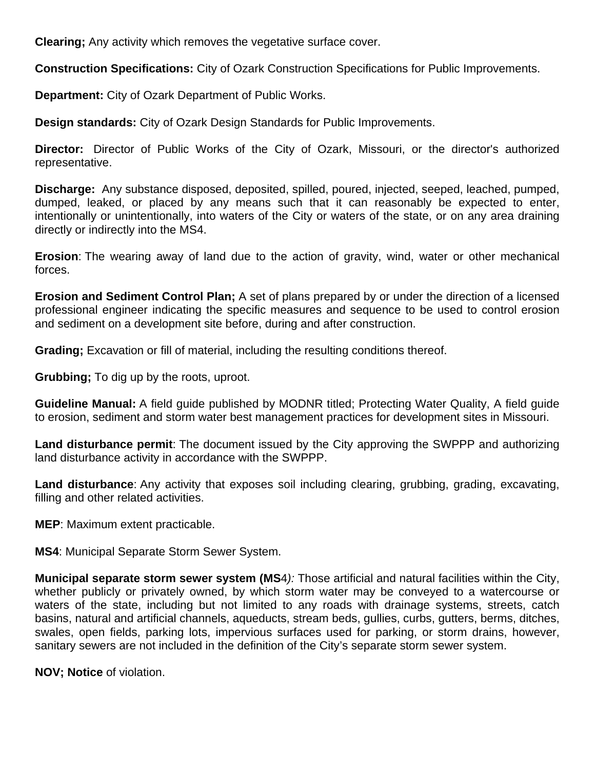**Clearing;** Any activity which removes the vegetative surface cover.

**Construction Specifications:** City of Ozark Construction Specifications for Public Improvements.

**Department:** City of Ozark Department of Public Works.

**Design standards:** City of Ozark Design Standards for Public Improvements.

**Director:** Director of Public Works of the City of Ozark, Missouri, or the director's authorized representative.

**Discharge:** Any substance disposed, deposited, spilled, poured, injected, seeped, leached, pumped, dumped, leaked, or placed by any means such that it can reasonably be expected to enter, intentionally or unintentionally, into waters of the City or waters of the state, or on any area draining directly or indirectly into the MS4.

**Erosion**: The wearing away of land due to the action of gravity, wind, water or other mechanical forces.

**Erosion and Sediment Control Plan;** A set of plans prepared by or under the direction of a licensed professional engineer indicating the specific measures and sequence to be used to control erosion and sediment on a development site before, during and after construction.

**Grading;** Excavation or fill of material, including the resulting conditions thereof.

**Grubbing;** To dig up by the roots, uproot.

**Guideline Manual:** A field guide published by MODNR titled; Protecting Water Quality, A field guide to erosion, sediment and storm water best management practices for development sites in Missouri.

**Land disturbance permit**: The document issued by the City approving the SWPPP and authorizing land disturbance activity in accordance with the SWPPP.

**Land disturbance**: Any activity that exposes soil including clearing, grubbing, grading, excavating, filling and other related activities.

**MEP**: Maximum extent practicable.

**MS4**: Municipal Separate Storm Sewer System.

**Municipal separate storm sewer system (MS**4*):* Those artificial and natural facilities within the City, whether publicly or privately owned, by which storm water may be conveyed to a watercourse or waters of the state, including but not limited to any roads with drainage systems, streets, catch basins, natural and artificial channels, aqueducts, stream beds, gullies, curbs, gutters, berms, ditches, swales, open fields, parking lots, impervious surfaces used for parking, or storm drains, however, sanitary sewers are not included in the definition of the City's separate storm sewer system.

**NOV; Notice** of violation.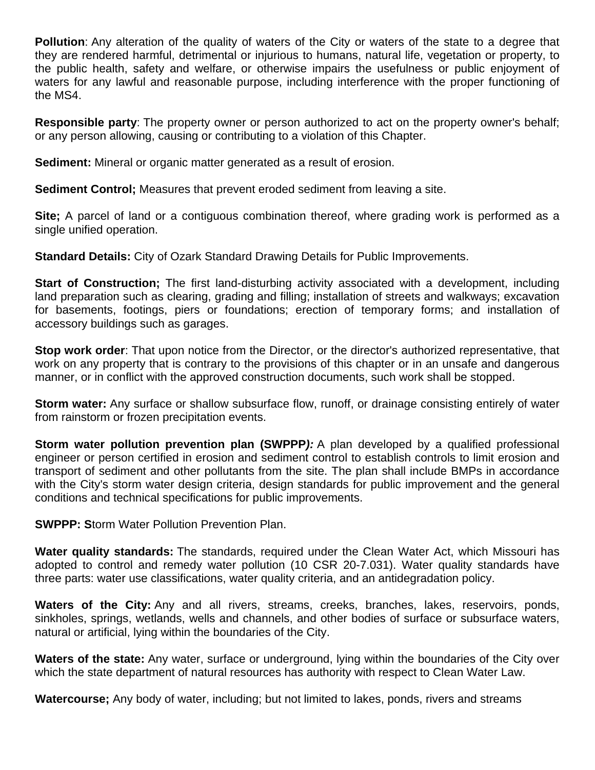**Pollution**: Any alteration of the quality of waters of the City or waters of the state to a degree that they are rendered harmful, detrimental or injurious to humans, natural life, vegetation or property, to the public health, safety and welfare, or otherwise impairs the usefulness or public enjoyment of waters for any lawful and reasonable purpose, including interference with the proper functioning of the MS4.

**Responsible party**: The property owner or person authorized to act on the property owner's behalf; or any person allowing, causing or contributing to a violation of this Chapter.

**Sediment:** Mineral or organic matter generated as a result of erosion.

**Sediment Control;** Measures that prevent eroded sediment from leaving a site.

**Site;** A parcel of land or a contiguous combination thereof, where grading work is performed as a single unified operation.

**Standard Details:** City of Ozark Standard Drawing Details for Public Improvements.

**Start of Construction;** The first land-disturbing activity associated with a development, including land preparation such as clearing, grading and filling; installation of streets and walkways; excavation for basements, footings, piers or foundations; erection of temporary forms; and installation of accessory buildings such as garages.

**Stop work order**: That upon notice from the Director, or the director's authorized representative, that work on any property that is contrary to the provisions of this chapter or in an unsafe and dangerous manner, or in conflict with the approved construction documents, such work shall be stopped.

**Storm water:** Any surface or shallow subsurface flow, runoff, or drainage consisting entirely of water from rainstorm or frozen precipitation events.

**Storm water pollution prevention plan (SWPPP***):* A plan developed by a qualified professional engineer or person certified in erosion and sediment control to establish controls to limit erosion and transport of sediment and other pollutants from the site. The plan shall include BMPs in accordance with the City's storm water design criteria, design standards for public improvement and the general conditions and technical specifications for public improvements.

**SWPPP: S**torm Water Pollution Prevention Plan.

**Water quality standards:** The standards, required under the Clean Water Act, which Missouri has adopted to control and remedy water pollution (10 CSR 20-7.031). Water quality standards have three parts: water use classifications, water quality criteria, and an antidegradation policy.

Waters of the City: Any and all rivers, streams, creeks, branches, lakes, reservoirs, ponds, sinkholes, springs, wetlands, wells and channels, and other bodies of surface or subsurface waters, natural or artificial, lying within the boundaries of the City.

**Waters of the state:** Any water, surface or underground, lying within the boundaries of the City over which the state department of natural resources has authority with respect to Clean Water Law.

**Watercourse;** Any body of water, including; but not limited to lakes, ponds, rivers and streams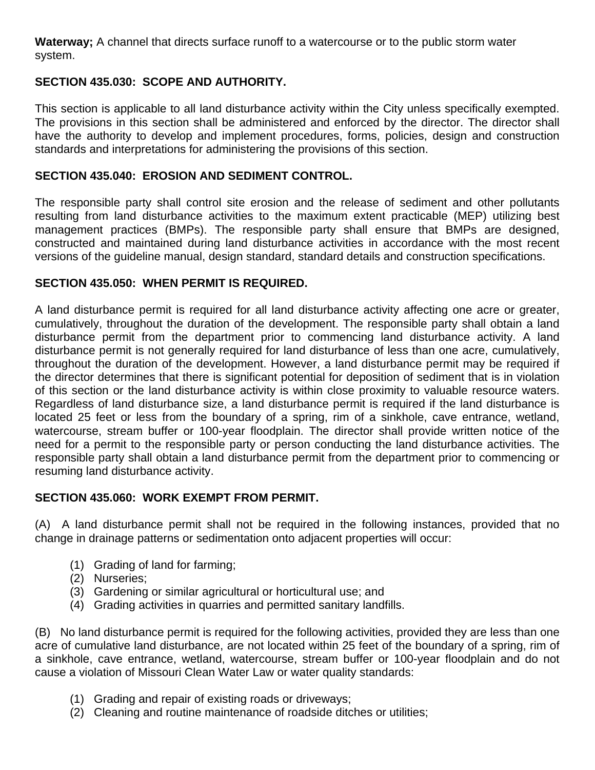**Waterway;** A channel that directs surface runoff to a watercourse or to the public storm water system.

#### **SECTION 435.030: SCOPE AND AUTHORITY.**

This section is applicable to all land disturbance activity within the City unless specifically exempted. The provisions in this section shall be administered and enforced by the director. The director shall have the authority to develop and implement procedures, forms, policies, design and construction standards and interpretations for administering the provisions of this section.

#### **SECTION 435.040: EROSION AND SEDIMENT CONTROL.**

The responsible party shall control site erosion and the release of sediment and other pollutants resulting from land disturbance activities to the maximum extent practicable (MEP) utilizing best management practices (BMPs). The responsible party shall ensure that BMPs are designed, constructed and maintained during land disturbance activities in accordance with the most recent versions of the guideline manual, design standard, standard details and construction specifications.

#### **SECTION 435.050: WHEN PERMIT IS REQUIRED.**

A land disturbance permit is required for all land disturbance activity affecting one acre or greater, cumulatively, throughout the duration of the development. The responsible party shall obtain a land disturbance permit from the department prior to commencing land disturbance activity. A land disturbance permit is not generally required for land disturbance of less than one acre, cumulatively, throughout the duration of the development. However, a land disturbance permit may be required if the director determines that there is significant potential for deposition of sediment that is in violation of this section or the land disturbance activity is within close proximity to valuable resource waters. Regardless of land disturbance size, a land disturbance permit is required if the land disturbance is located 25 feet or less from the boundary of a spring, rim of a sinkhole, cave entrance, wetland, watercourse, stream buffer or 100-year floodplain. The director shall provide written notice of the need for a permit to the responsible party or person conducting the land disturbance activities. The responsible party shall obtain a land disturbance permit from the department prior to commencing or resuming land disturbance activity.

#### **SECTION 435.060: WORK EXEMPT FROM PERMIT.**

(A) A land disturbance permit shall not be required in the following instances, provided that no change in drainage patterns or sedimentation onto adjacent properties will occur:

- (1) Grading of land for farming;
- (2) Nurseries;
- (3) Gardening or similar agricultural or horticultural use; and
- (4) Grading activities in quarries and permitted sanitary landfills.

(B) No land disturbance permit is required for the following activities, provided they are less than one acre of cumulative land disturbance, are not located within 25 feet of the boundary of a spring, rim of a sinkhole, cave entrance, wetland, watercourse, stream buffer or 100-year floodplain and do not cause a violation of Missouri Clean Water Law or water quality standards:

- (1) Grading and repair of existing roads or driveways;
- (2) Cleaning and routine maintenance of roadside ditches or utilities;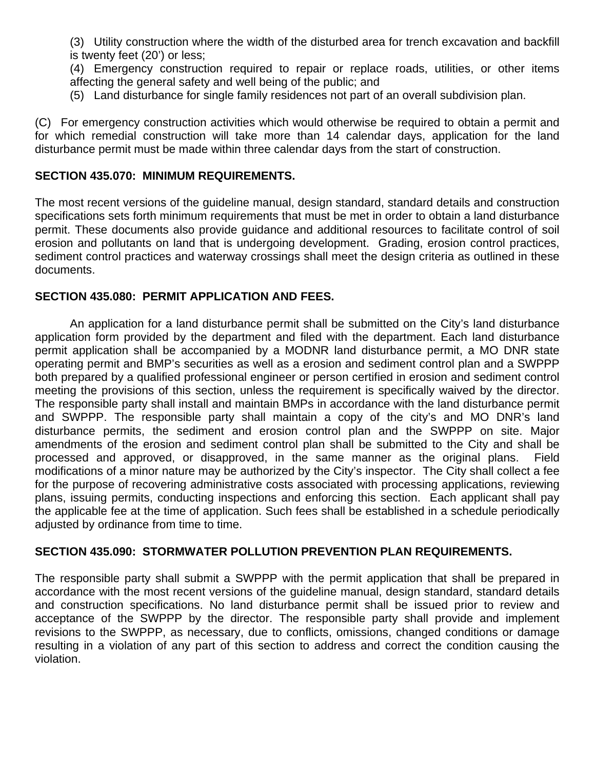(3) Utility construction where the width of the disturbed area for trench excavation and backfill is twenty feet (20') or less;

(4) Emergency construction required to repair or replace roads, utilities, or other items affecting the general safety and well being of the public; and

(5) Land disturbance for single family residences not part of an overall subdivision plan.

(C) For emergency construction activities which would otherwise be required to obtain a permit and for which remedial construction will take more than 14 calendar days, application for the land disturbance permit must be made within three calendar days from the start of construction.

#### **SECTION 435.070: MINIMUM REQUIREMENTS.**

The most recent versions of the guideline manual, design standard, standard details and construction specifications sets forth minimum requirements that must be met in order to obtain a land disturbance permit. These documents also provide guidance and additional resources to facilitate control of soil erosion and pollutants on land that is undergoing development. Grading, erosion control practices, sediment control practices and waterway crossings shall meet the design criteria as outlined in these documents.

#### **SECTION 435.080: PERMIT APPLICATION AND FEES.**

An application for a land disturbance permit shall be submitted on the City's land disturbance application form provided by the department and filed with the department. Each land disturbance permit application shall be accompanied by a MODNR land disturbance permit, a MO DNR state operating permit and BMP's securities as well as a erosion and sediment control plan and a SWPPP both prepared by a qualified professional engineer or person certified in erosion and sediment control meeting the provisions of this section, unless the requirement is specifically waived by the director. The responsible party shall install and maintain BMPs in accordance with the land disturbance permit and SWPPP. The responsible party shall maintain a copy of the city's and MO DNR's land disturbance permits, the sediment and erosion control plan and the SWPPP on site. Major amendments of the erosion and sediment control plan shall be submitted to the City and shall be processed and approved, or disapproved, in the same manner as the original plans. Field modifications of a minor nature may be authorized by the City's inspector. The City shall collect a fee for the purpose of recovering administrative costs associated with processing applications, reviewing plans, issuing permits, conducting inspections and enforcing this section. Each applicant shall pay the applicable fee at the time of application. Such fees shall be established in a schedule periodically adjusted by ordinance from time to time.

#### **SECTION 435.090: STORMWATER POLLUTION PREVENTION PLAN REQUIREMENTS.**

The responsible party shall submit a SWPPP with the permit application that shall be prepared in accordance with the most recent versions of the guideline manual, design standard, standard details and construction specifications. No land disturbance permit shall be issued prior to review and acceptance of the SWPPP by the director. The responsible party shall provide and implement revisions to the SWPPP, as necessary, due to conflicts, omissions, changed conditions or damage resulting in a violation of any part of this section to address and correct the condition causing the violation.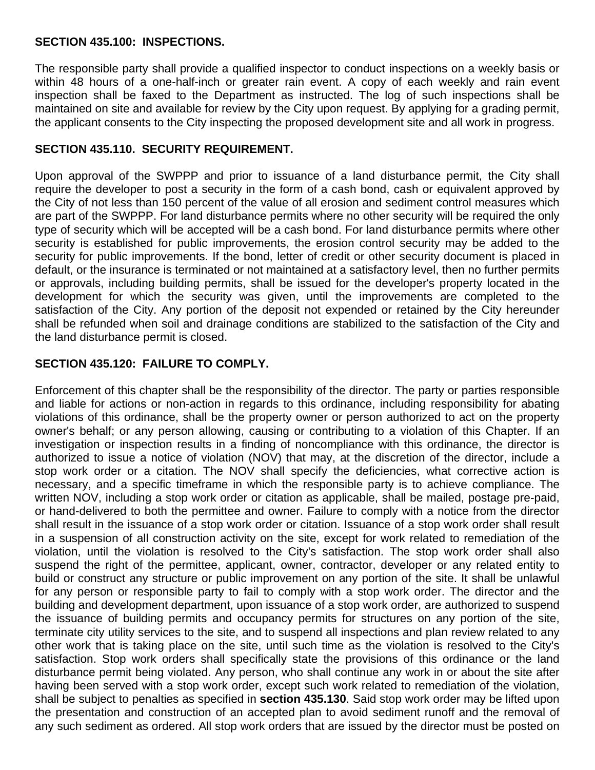#### **SECTION 435.100: INSPECTIONS.**

The responsible party shall provide a qualified inspector to conduct inspections on a weekly basis or within 48 hours of a one-half-inch or greater rain event. A copy of each weekly and rain event inspection shall be faxed to the Department as instructed. The log of such inspections shall be maintained on site and available for review by the City upon request. By applying for a grading permit, the applicant consents to the City inspecting the proposed development site and all work in progress.

#### **SECTION 435.110. SECURITY REQUIREMENT.**

Upon approval of the SWPPP and prior to issuance of a land disturbance permit, the City shall require the developer to post a security in the form of a cash bond, cash or equivalent approved by the City of not less than 150 percent of the value of all erosion and sediment control measures which are part of the SWPPP. For land disturbance permits where no other security will be required the only type of security which will be accepted will be a cash bond. For land disturbance permits where other security is established for public improvements, the erosion control security may be added to the security for public improvements. If the bond, letter of credit or other security document is placed in default, or the insurance is terminated or not maintained at a satisfactory level, then no further permits or approvals, including building permits, shall be issued for the developer's property located in the development for which the security was given, until the improvements are completed to the satisfaction of the City. Any portion of the deposit not expended or retained by the City hereunder shall be refunded when soil and drainage conditions are stabilized to the satisfaction of the City and the land disturbance permit is closed.

#### **SECTION 435.120: FAILURE TO COMPLY.**

Enforcement of this chapter shall be the responsibility of the director. The party or parties responsible and liable for actions or non-action in regards to this ordinance, including responsibility for abating violations of this ordinance, shall be the property owner or person authorized to act on the property owner's behalf; or any person allowing, causing or contributing to a violation of this Chapter. If an investigation or inspection results in a finding of noncompliance with this ordinance, the director is authorized to issue a notice of violation (NOV) that may, at the discretion of the director, include a stop work order or a citation. The NOV shall specify the deficiencies, what corrective action is necessary, and a specific timeframe in which the responsible party is to achieve compliance. The written NOV, including a stop work order or citation as applicable, shall be mailed, postage pre-paid, or hand-delivered to both the permittee and owner. Failure to comply with a notice from the director shall result in the issuance of a stop work order or citation. Issuance of a stop work order shall result in a suspension of all construction activity on the site, except for work related to remediation of the violation, until the violation is resolved to the City's satisfaction. The stop work order shall also suspend the right of the permittee, applicant, owner, contractor, developer or any related entity to build or construct any structure or public improvement on any portion of the site. It shall be unlawful for any person or responsible party to fail to comply with a stop work order. The director and the building and development department, upon issuance of a stop work order, are authorized to suspend the issuance of building permits and occupancy permits for structures on any portion of the site, terminate city utility services to the site, and to suspend all inspections and plan review related to any other work that is taking place on the site, until such time as the violation is resolved to the City's satisfaction. Stop work orders shall specifically state the provisions of this ordinance or the land disturbance permit being violated. Any person, who shall continue any work in or about the site after having been served with a stop work order, except such work related to remediation of the violation, shall be subject to penalties as specified in **section 435.130**. Said stop work order may be lifted upon the presentation and construction of an accepted plan to avoid sediment runoff and the removal of any such sediment as ordered. All stop work orders that are issued by the director must be posted on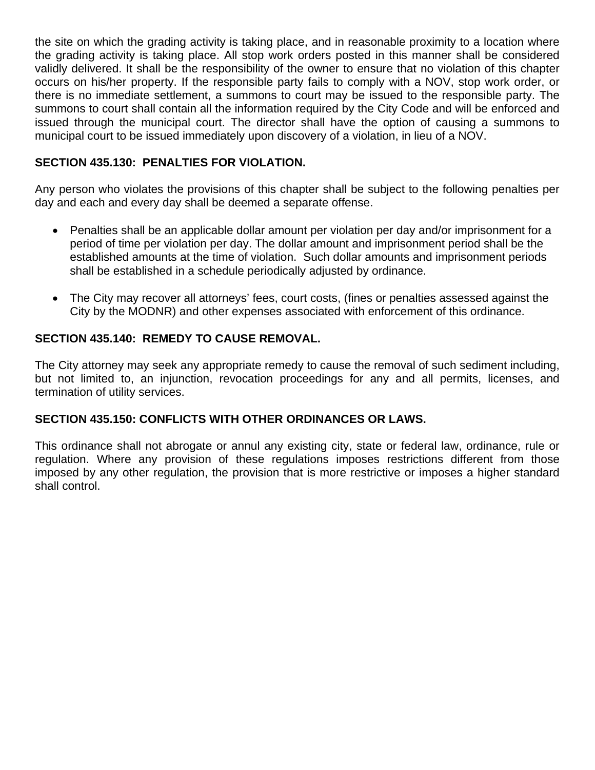the site on which the grading activity is taking place, and in reasonable proximity to a location where the grading activity is taking place. All stop work orders posted in this manner shall be considered validly delivered. It shall be the responsibility of the owner to ensure that no violation of this chapter occurs on his/her property. If the responsible party fails to comply with a NOV, stop work order, or there is no immediate settlement, a summons to court may be issued to the responsible party. The summons to court shall contain all the information required by the City Code and will be enforced and issued through the municipal court. The director shall have the option of causing a summons to municipal court to be issued immediately upon discovery of a violation, in lieu of a NOV.

#### **SECTION 435.130: PENALTIES FOR VIOLATION.**

Any person who violates the provisions of this chapter shall be subject to the following penalties per day and each and every day shall be deemed a separate offense.

- Penalties shall be an applicable dollar amount per violation per day and/or imprisonment for a period of time per violation per day. The dollar amount and imprisonment period shall be the established amounts at the time of violation. Such dollar amounts and imprisonment periods shall be established in a schedule periodically adjusted by ordinance.
- The City may recover all attorneys' fees, court costs, (fines or penalties assessed against the City by the MODNR) and other expenses associated with enforcement of this ordinance.

#### **SECTION 435.140: REMEDY TO CAUSE REMOVAL.**

The City attorney may seek any appropriate remedy to cause the removal of such sediment including, but not limited to, an injunction, revocation proceedings for any and all permits, licenses, and termination of utility services.

#### **SECTION 435.150: CONFLICTS WITH OTHER ORDINANCES OR LAWS.**

This ordinance shall not abrogate or annul any existing city, state or federal law, ordinance, rule or regulation. Where any provision of these regulations imposes restrictions different from those imposed by any other regulation, the provision that is more restrictive or imposes a higher standard shall control.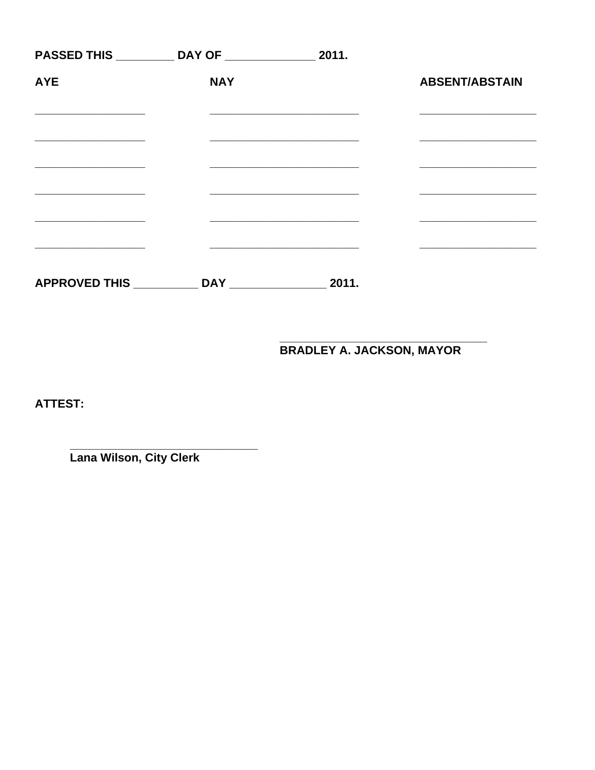|                      | PASSED THIS ___________ DAY OF _____________ | 2011. |                       |
|----------------------|----------------------------------------------|-------|-----------------------|
| <b>AYE</b>           | <b>NAY</b>                                   |       | <b>ABSENT/ABSTAIN</b> |
|                      |                                              |       |                       |
|                      |                                              |       |                       |
|                      |                                              |       |                       |
|                      |                                              |       |                       |
|                      |                                              |       |                       |
| <b>APPROVED THIS</b> | <b>DAY</b>                                   | 2011. |                       |

**BRADLEY A. JACKSON, MAYOR** 

ATTEST:

Lana Wilson, City Clerk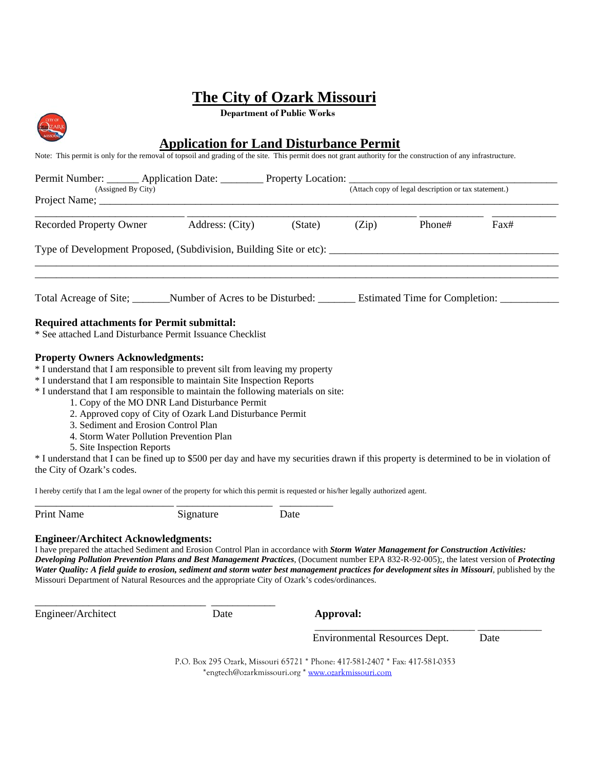**Department of Public Works**

|                                                                                                                                             | <b>Application for Land Disturbance Permit</b>                                                                                                                                                                                                                                                                                                                                                                                                                                                                                                       |         |       |                                                      |      |  |
|---------------------------------------------------------------------------------------------------------------------------------------------|------------------------------------------------------------------------------------------------------------------------------------------------------------------------------------------------------------------------------------------------------------------------------------------------------------------------------------------------------------------------------------------------------------------------------------------------------------------------------------------------------------------------------------------------------|---------|-------|------------------------------------------------------|------|--|
|                                                                                                                                             | Note: This permit is only for the removal of topsoil and grading of the site. This permit does not grant authority for the construction of any infrastructure.                                                                                                                                                                                                                                                                                                                                                                                       |         |       |                                                      |      |  |
|                                                                                                                                             | Permit Number: _______ Application Date: ________ Property Location: ____________                                                                                                                                                                                                                                                                                                                                                                                                                                                                    |         |       |                                                      |      |  |
| (Assigned By City)                                                                                                                          |                                                                                                                                                                                                                                                                                                                                                                                                                                                                                                                                                      |         |       | (Attach copy of legal description or tax statement.) |      |  |
|                                                                                                                                             | Recorded Property Owner Address: (City)                                                                                                                                                                                                                                                                                                                                                                                                                                                                                                              | (State) | (Zip) | Phone#                                               | Fax# |  |
|                                                                                                                                             | Type of Development Proposed, (Subdivision, Building Site or etc):                                                                                                                                                                                                                                                                                                                                                                                                                                                                                   |         |       |                                                      |      |  |
|                                                                                                                                             | Total Acreage of Site; Number of Acres to be Disturbed: Estimated Time for Completion:                                                                                                                                                                                                                                                                                                                                                                                                                                                               |         |       |                                                      |      |  |
| <b>Required attachments for Permit submittal:</b>                                                                                           | * See attached Land Disturbance Permit Issuance Checklist                                                                                                                                                                                                                                                                                                                                                                                                                                                                                            |         |       |                                                      |      |  |
| <b>Property Owners Acknowledgments:</b><br>3. Sediment and Erosion Control Plan<br>5. Site Inspection Reports<br>the City of Ozark's codes. | * I understand that I am responsible to prevent silt from leaving my property<br>* I understand that I am responsible to maintain Site Inspection Reports<br>* I understand that I am responsible to maintain the following materials on site:<br>1. Copy of the MO DNR Land Disturbance Permit<br>2. Approved copy of City of Ozark Land Disturbance Permit<br>4. Storm Water Pollution Prevention Plan<br>* I understand that I can be fined up to \$500 per day and have my securities drawn if this property is determined to be in violation of |         |       |                                                      |      |  |
|                                                                                                                                             | I hereby certify that I am the legal owner of the property for which this permit is requested or his/her legally authorized agent.                                                                                                                                                                                                                                                                                                                                                                                                                   |         |       |                                                      |      |  |
| <b>Print Name</b>                                                                                                                           | Signature                                                                                                                                                                                                                                                                                                                                                                                                                                                                                                                                            | Date    |       |                                                      |      |  |

#### **Engineer/Architect Acknowledgments:**

\_\_\_\_\_\_\_\_\_\_\_\_\_\_\_\_\_\_\_\_\_\_\_\_\_\_\_\_\_\_\_\_ \_\_\_\_\_\_\_\_\_\_\_\_

I have prepared the attached Sediment and Erosion Control Plan in accordance with *Storm Water Management for Construction Activities: Developing Pollution Prevention Plans and Best Management Practices*, (Document number EPA 832-R-92-005);, the latest version of *Protecting Water Quality: A field guide to erosion, sediment and storm water best management practices for development sites in Missouri*, published by the Missouri Department of Natural Resources and the appropriate City of Ozark's codes/ordinances.

Engineer/Architect Date **Approval:** 

 $\sum_{\lambda}$ 

 $\frac{1}{2}$  , and the contract of the contract of the contract of the contract of the contract of the contract of the contract of the contract of the contract of the contract of the contract of the contract of the contract Environmental Resources Dept. Date

 P.O. Box 295 Ozark, Missouri 65721 \* Phone: 417-581-2407 \* Fax: 417-581-0353 \*engtech@ozarkmissouri.org \* [www.ozarkmissouri.com](http://www.ozarkmissouri.com/)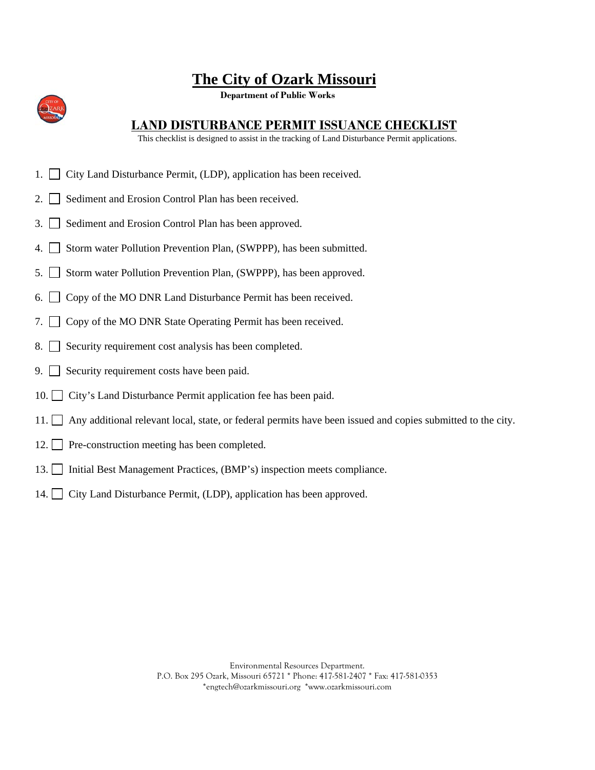**Department of Public Works**



#### **LAND DISTURBANCE PERMIT ISSUANCE CHECKLIST**

This checklist is designed to assist in the tracking of Land Disturbance Permit applications.

- 1. City Land Disturbance Permit, (LDP), application has been received.
- 2. Sediment and Erosion Control Plan has been received.
- 3. Sediment and Erosion Control Plan has been approved.
- 4. Storm water Pollution Prevention Plan, (SWPPP), has been submitted.
- 5. Storm water Pollution Prevention Plan, (SWPPP), has been approved.
- 6.  $\Box$  Copy of the MO DNR Land Disturbance Permit has been received.
- 7. Copy of the MO DNR State Operating Permit has been received.
- 8. Security requirement cost analysis has been completed.
- 9. Security requirement costs have been paid.
- 10. City's Land Disturbance Permit application fee has been paid.
- 11. Any additional relevant local, state, or federal permits have been issued and copies submitted to the city.
- 12. Pre-construction meeting has been completed.
- 13. Initial Best Management Practices, (BMP's) inspection meets compliance.
- 14. City Land Disturbance Permit, (LDP), application has been approved.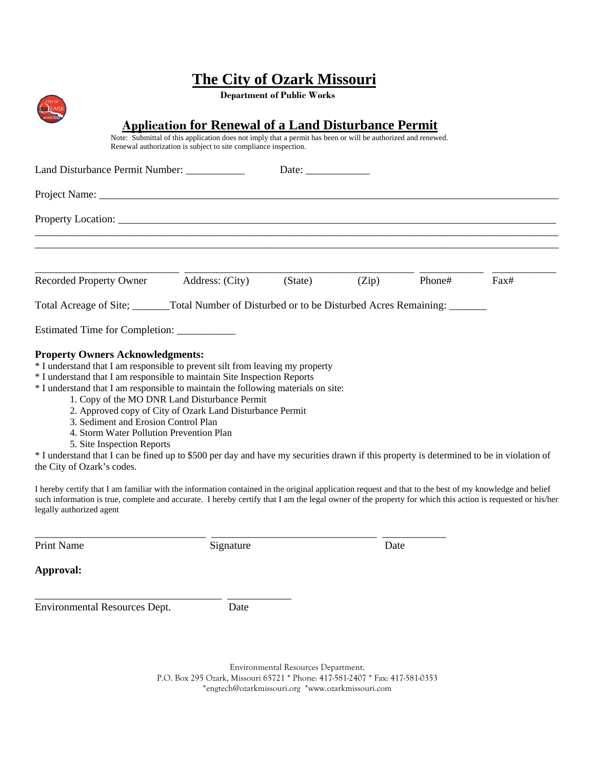**Department of Public Works**

|                                                                                                                                                                                                                                                                                                                                                                                                                                                                                                                                                                                                                                                                                                     | <b>Application for Renewal of a Land Disturbance Permit</b><br>Note: Submittal of this application does not imply that a permit has been or will be authorized and renewed.<br>Renewal authorization is subject to site compliance inspection. |              |       |        |      |
|-----------------------------------------------------------------------------------------------------------------------------------------------------------------------------------------------------------------------------------------------------------------------------------------------------------------------------------------------------------------------------------------------------------------------------------------------------------------------------------------------------------------------------------------------------------------------------------------------------------------------------------------------------------------------------------------------------|------------------------------------------------------------------------------------------------------------------------------------------------------------------------------------------------------------------------------------------------|--------------|-------|--------|------|
| Land Disturbance Permit Number: __________                                                                                                                                                                                                                                                                                                                                                                                                                                                                                                                                                                                                                                                          |                                                                                                                                                                                                                                                | Date: $\_\_$ |       |        |      |
|                                                                                                                                                                                                                                                                                                                                                                                                                                                                                                                                                                                                                                                                                                     |                                                                                                                                                                                                                                                |              |       |        |      |
|                                                                                                                                                                                                                                                                                                                                                                                                                                                                                                                                                                                                                                                                                                     |                                                                                                                                                                                                                                                |              |       |        |      |
| Recorded Property Owner                                                                                                                                                                                                                                                                                                                                                                                                                                                                                                                                                                                                                                                                             | Address: (City)                                                                                                                                                                                                                                | (State)      | (Zip) | Phone# | Fax# |
|                                                                                                                                                                                                                                                                                                                                                                                                                                                                                                                                                                                                                                                                                                     |                                                                                                                                                                                                                                                |              |       |        |      |
| Estimated Time for Completion: ____________                                                                                                                                                                                                                                                                                                                                                                                                                                                                                                                                                                                                                                                         |                                                                                                                                                                                                                                                |              |       |        |      |
| <b>Property Owners Acknowledgments:</b><br>* I understand that I am responsible to prevent silt from leaving my property<br>* I understand that I am responsible to maintain Site Inspection Reports<br>* I understand that I am responsible to maintain the following materials on site:<br>1. Copy of the MO DNR Land Disturbance Permit<br>2. Approved copy of City of Ozark Land Disturbance Permit<br>3. Sediment and Erosion Control Plan<br>4. Storm Water Pollution Prevention Plan<br>5. Site Inspection Reports<br>* I understand that I can be fined up to \$500 per day and have my securities drawn if this property is determined to be in violation of<br>the City of Ozark's codes. |                                                                                                                                                                                                                                                |              |       |        |      |
| I hereby certify that I am familiar with the information contained in the original application request and that to the best of my knowledge and belief<br>such information is true, complete and accurate. I hereby certify that I am the legal owner of the property for which this action is requested or his/her<br>legally authorized agent                                                                                                                                                                                                                                                                                                                                                     |                                                                                                                                                                                                                                                |              |       |        |      |
| <b>Print Name</b>                                                                                                                                                                                                                                                                                                                                                                                                                                                                                                                                                                                                                                                                                   | Signature                                                                                                                                                                                                                                      |              | Date  |        |      |
| Approval:                                                                                                                                                                                                                                                                                                                                                                                                                                                                                                                                                                                                                                                                                           |                                                                                                                                                                                                                                                |              |       |        |      |

Environmental Resources Dept. Date

**CITY OF** 

\_\_\_\_\_\_\_\_\_\_\_\_\_\_\_\_\_\_\_\_\_\_\_\_\_\_\_\_\_\_\_\_\_\_\_ \_\_\_\_\_\_\_\_\_\_\_\_

Environmental Resources Department. P.O. Box 295 Ozark, Missouri 65721 \* Phone: 417-581-2407 \* Fax: 417-581-0353 \*engtech@ozarkmissouri.org \*www.ozarkmissouri.com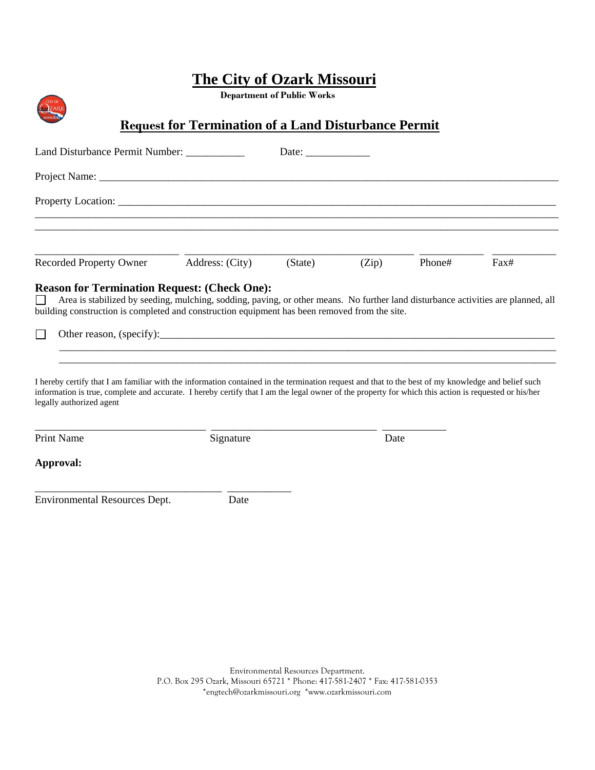**Department of Public Works**

**DZAF** 

### **Request for Termination of a Land Disturbance Permit**

| Land Disturbance Permit Number: ___________                                                                                                                                                                                                                                                                                                                                                                                                     |                 | Date: $\frac{1}{\sqrt{1-\frac{1}{2}}\cdot\frac{1}{2}}$ |       |        |      |
|-------------------------------------------------------------------------------------------------------------------------------------------------------------------------------------------------------------------------------------------------------------------------------------------------------------------------------------------------------------------------------------------------------------------------------------------------|-----------------|--------------------------------------------------------|-------|--------|------|
|                                                                                                                                                                                                                                                                                                                                                                                                                                                 |                 |                                                        |       |        |      |
|                                                                                                                                                                                                                                                                                                                                                                                                                                                 |                 |                                                        |       |        |      |
|                                                                                                                                                                                                                                                                                                                                                                                                                                                 |                 |                                                        |       |        |      |
| <b>Recorded Property Owner</b>                                                                                                                                                                                                                                                                                                                                                                                                                  | Address: (City) | (State)                                                | (Zip) | Phone# | Fax# |
| <b>Reason for Termination Request: (Check One):</b><br>Area is stabilized by seeding, mulching, sodding, paving, or other means. No further land disturbance activities are planned, all<br>building construction is completed and construction equipment has been removed from the site.<br>I hereby certify that I am familiar with the information contained in the termination request and that to the best of my knowledge and belief such |                 |                                                        |       |        |      |
| information is true, complete and accurate. I hereby certify that I am the legal owner of the property for which this action is requested or his/her<br>legally authorized agent                                                                                                                                                                                                                                                                |                 |                                                        |       |        |      |
| <b>Print Name</b>                                                                                                                                                                                                                                                                                                                                                                                                                               | Signature       |                                                        | Date  |        |      |
| Approval:                                                                                                                                                                                                                                                                                                                                                                                                                                       |                 |                                                        |       |        |      |
| <b>Environmental Resources Dept.</b>                                                                                                                                                                                                                                                                                                                                                                                                            | Date            |                                                        |       |        |      |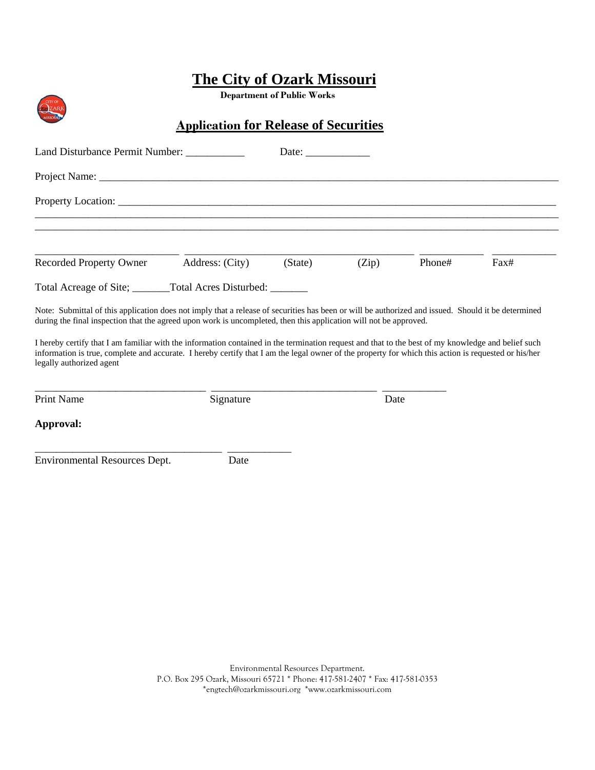**Department of Public Works**

## **Application for Release of Securities**

| Land Disturbance Permit Number: _________                                                                                                                                                                                                                                                                                                                                                                                                                                                                                                                                                                         |                 |         |       |        |      |
|-------------------------------------------------------------------------------------------------------------------------------------------------------------------------------------------------------------------------------------------------------------------------------------------------------------------------------------------------------------------------------------------------------------------------------------------------------------------------------------------------------------------------------------------------------------------------------------------------------------------|-----------------|---------|-------|--------|------|
|                                                                                                                                                                                                                                                                                                                                                                                                                                                                                                                                                                                                                   |                 |         |       |        |      |
|                                                                                                                                                                                                                                                                                                                                                                                                                                                                                                                                                                                                                   |                 |         |       |        |      |
|                                                                                                                                                                                                                                                                                                                                                                                                                                                                                                                                                                                                                   |                 |         |       |        |      |
| <b>Recorded Property Owner</b>                                                                                                                                                                                                                                                                                                                                                                                                                                                                                                                                                                                    | Address: (City) | (State) | (Zip) | Phone# | Fax# |
| Total Acreage of Site; ________Total Acres Disturbed: _______                                                                                                                                                                                                                                                                                                                                                                                                                                                                                                                                                     |                 |         |       |        |      |
| Note: Submittal of this application does not imply that a release of securities has been or will be authorized and issued. Should it be determined<br>during the final inspection that the agreed upon work is uncompleted, then this application will not be approved.<br>I hereby certify that I am familiar with the information contained in the termination request and that to the best of my knowledge and belief such<br>information is true, complete and accurate. I hereby certify that I am the legal owner of the property for which this action is requested or his/her<br>legally authorized agent |                 |         |       |        |      |
| <b>Print Name</b>                                                                                                                                                                                                                                                                                                                                                                                                                                                                                                                                                                                                 | Signature       |         | Date  |        |      |
| Approval:                                                                                                                                                                                                                                                                                                                                                                                                                                                                                                                                                                                                         |                 |         |       |        |      |
| Environmental Resources Dept.                                                                                                                                                                                                                                                                                                                                                                                                                                                                                                                                                                                     | Date            |         |       |        |      |